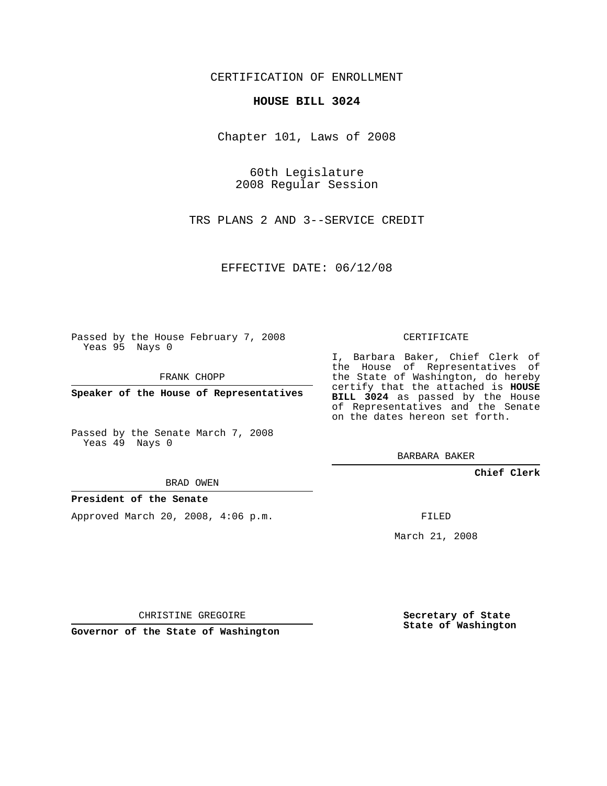CERTIFICATION OF ENROLLMENT

## **HOUSE BILL 3024**

Chapter 101, Laws of 2008

60th Legislature 2008 Regular Session

TRS PLANS 2 AND 3--SERVICE CREDIT

EFFECTIVE DATE: 06/12/08

Passed by the House February 7, 2008 Yeas 95 Nays 0

FRANK CHOPP

**Speaker of the House of Representatives**

Passed by the Senate March 7, 2008 Yeas 49 Nays 0

BRAD OWEN

## **President of the Senate**

Approved March 20, 2008, 4:06 p.m.

CERTIFICATE

I, Barbara Baker, Chief Clerk of the House of Representatives of the State of Washington, do hereby certify that the attached is **HOUSE BILL 3024** as passed by the House of Representatives and the Senate on the dates hereon set forth.

BARBARA BAKER

**Chief Clerk**

FILED

March 21, 2008

CHRISTINE GREGOIRE

**Governor of the State of Washington**

**Secretary of State State of Washington**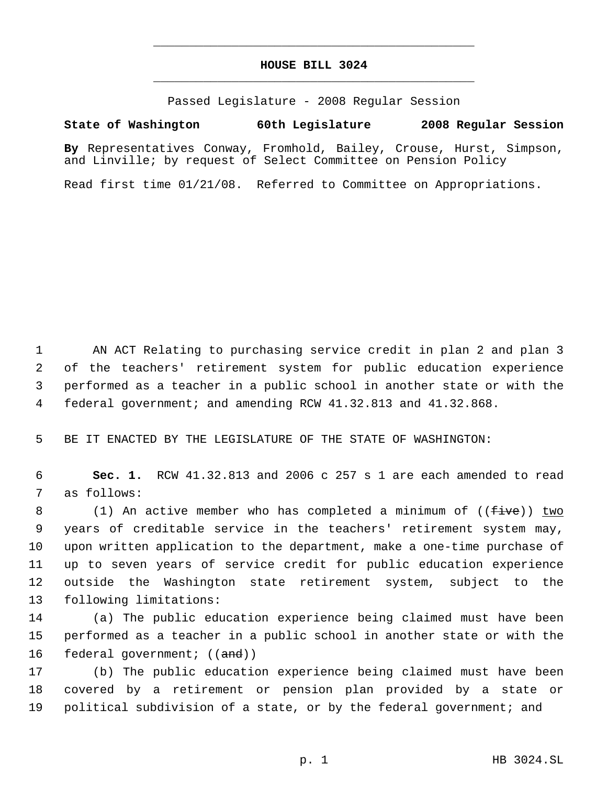## **HOUSE BILL 3024** \_\_\_\_\_\_\_\_\_\_\_\_\_\_\_\_\_\_\_\_\_\_\_\_\_\_\_\_\_\_\_\_\_\_\_\_\_\_\_\_\_\_\_\_\_

\_\_\_\_\_\_\_\_\_\_\_\_\_\_\_\_\_\_\_\_\_\_\_\_\_\_\_\_\_\_\_\_\_\_\_\_\_\_\_\_\_\_\_\_\_

Passed Legislature - 2008 Regular Session

## **State of Washington 60th Legislature 2008 Regular Session**

**By** Representatives Conway, Fromhold, Bailey, Crouse, Hurst, Simpson, and Linville; by request of Select Committee on Pension Policy

Read first time 01/21/08. Referred to Committee on Appropriations.

 AN ACT Relating to purchasing service credit in plan 2 and plan 3 of the teachers' retirement system for public education experience performed as a teacher in a public school in another state or with the federal government; and amending RCW 41.32.813 and 41.32.868.

BE IT ENACTED BY THE LEGISLATURE OF THE STATE OF WASHINGTON:

 **Sec. 1.** RCW 41.32.813 and 2006 c 257 s 1 are each amended to read as follows:

8 (1) An active member who has completed a minimum of ((<del>five</del>)) two years of creditable service in the teachers' retirement system may, upon written application to the department, make a one-time purchase of up to seven years of service credit for public education experience outside the Washington state retirement system, subject to the following limitations:

 (a) The public education experience being claimed must have been performed as a teacher in a public school in another state or with the 16 federal government; ((and))

 (b) The public education experience being claimed must have been covered by a retirement or pension plan provided by a state or political subdivision of a state, or by the federal government; and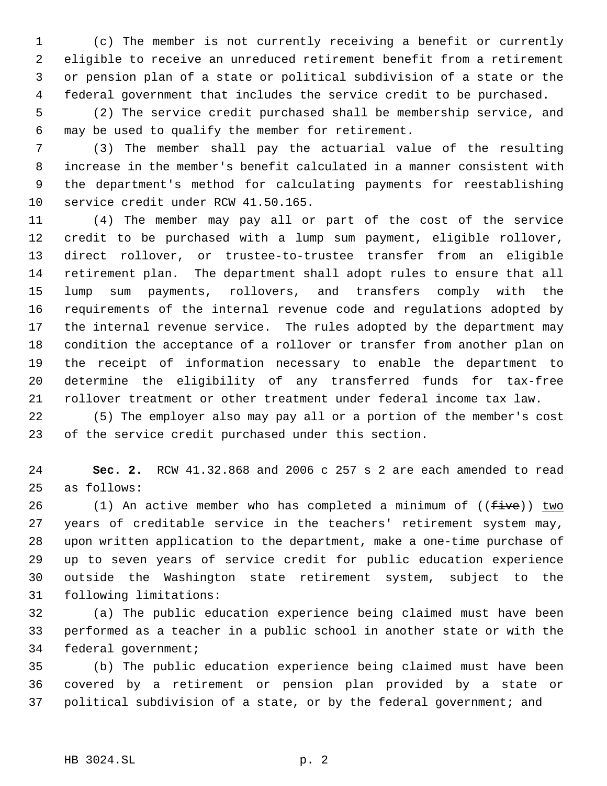(c) The member is not currently receiving a benefit or currently eligible to receive an unreduced retirement benefit from a retirement or pension plan of a state or political subdivision of a state or the federal government that includes the service credit to be purchased.

 (2) The service credit purchased shall be membership service, and may be used to qualify the member for retirement.

 (3) The member shall pay the actuarial value of the resulting increase in the member's benefit calculated in a manner consistent with the department's method for calculating payments for reestablishing service credit under RCW 41.50.165.

 (4) The member may pay all or part of the cost of the service credit to be purchased with a lump sum payment, eligible rollover, direct rollover, or trustee-to-trustee transfer from an eligible retirement plan. The department shall adopt rules to ensure that all lump sum payments, rollovers, and transfers comply with the requirements of the internal revenue code and regulations adopted by the internal revenue service. The rules adopted by the department may condition the acceptance of a rollover or transfer from another plan on the receipt of information necessary to enable the department to determine the eligibility of any transferred funds for tax-free rollover treatment or other treatment under federal income tax law.

 (5) The employer also may pay all or a portion of the member's cost of the service credit purchased under this section.

 **Sec. 2.** RCW 41.32.868 and 2006 c 257 s 2 are each amended to read as follows:

26 (1) An active member who has completed a minimum of  $((fiv)$  two years of creditable service in the teachers' retirement system may, upon written application to the department, make a one-time purchase of up to seven years of service credit for public education experience outside the Washington state retirement system, subject to the following limitations:

 (a) The public education experience being claimed must have been performed as a teacher in a public school in another state or with the federal government;

 (b) The public education experience being claimed must have been covered by a retirement or pension plan provided by a state or political subdivision of a state, or by the federal government; and